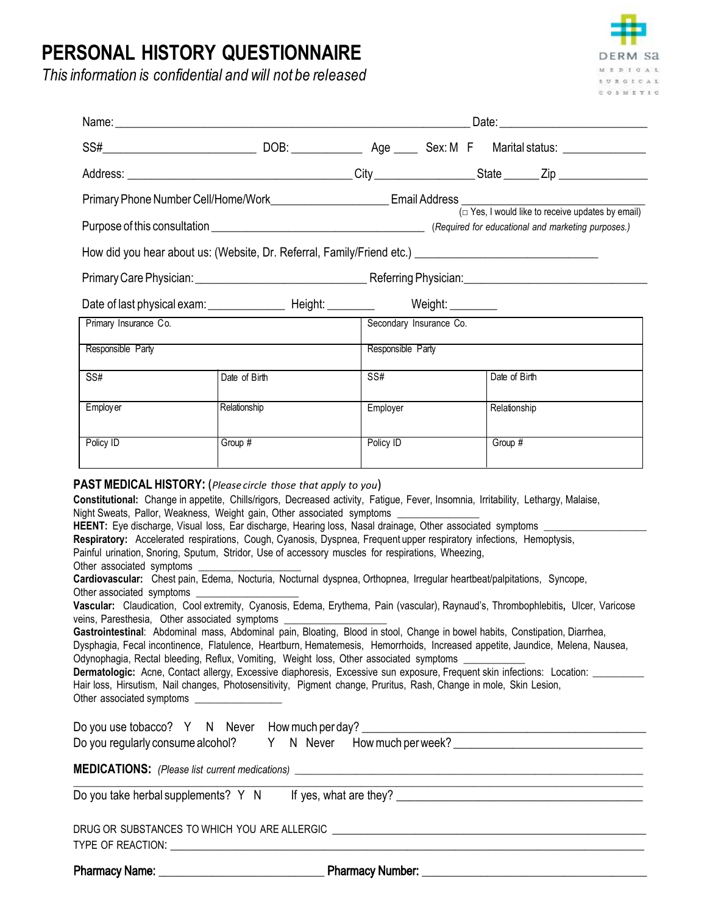## **PERSONAL HISTORY QUESTIONNAIRE**

*This information is confidential and will not be released* 



|                                                                                                                                      |                                                                                                                                                                                                                                                                                                                                                                                                                                                                                                                                                                                                                                                                                                                                                                          |                         | Date: <u>Date:</u>                                                                                                                                                                                                                                                                                                                                                                                                                                                                                                                                                                                                                                                                         |
|--------------------------------------------------------------------------------------------------------------------------------------|--------------------------------------------------------------------------------------------------------------------------------------------------------------------------------------------------------------------------------------------------------------------------------------------------------------------------------------------------------------------------------------------------------------------------------------------------------------------------------------------------------------------------------------------------------------------------------------------------------------------------------------------------------------------------------------------------------------------------------------------------------------------------|-------------------------|--------------------------------------------------------------------------------------------------------------------------------------------------------------------------------------------------------------------------------------------------------------------------------------------------------------------------------------------------------------------------------------------------------------------------------------------------------------------------------------------------------------------------------------------------------------------------------------------------------------------------------------------------------------------------------------------|
|                                                                                                                                      |                                                                                                                                                                                                                                                                                                                                                                                                                                                                                                                                                                                                                                                                                                                                                                          |                         |                                                                                                                                                                                                                                                                                                                                                                                                                                                                                                                                                                                                                                                                                            |
|                                                                                                                                      |                                                                                                                                                                                                                                                                                                                                                                                                                                                                                                                                                                                                                                                                                                                                                                          |                         |                                                                                                                                                                                                                                                                                                                                                                                                                                                                                                                                                                                                                                                                                            |
|                                                                                                                                      |                                                                                                                                                                                                                                                                                                                                                                                                                                                                                                                                                                                                                                                                                                                                                                          |                         |                                                                                                                                                                                                                                                                                                                                                                                                                                                                                                                                                                                                                                                                                            |
|                                                                                                                                      |                                                                                                                                                                                                                                                                                                                                                                                                                                                                                                                                                                                                                                                                                                                                                                          |                         |                                                                                                                                                                                                                                                                                                                                                                                                                                                                                                                                                                                                                                                                                            |
|                                                                                                                                      |                                                                                                                                                                                                                                                                                                                                                                                                                                                                                                                                                                                                                                                                                                                                                                          |                         |                                                                                                                                                                                                                                                                                                                                                                                                                                                                                                                                                                                                                                                                                            |
|                                                                                                                                      |                                                                                                                                                                                                                                                                                                                                                                                                                                                                                                                                                                                                                                                                                                                                                                          |                         |                                                                                                                                                                                                                                                                                                                                                                                                                                                                                                                                                                                                                                                                                            |
|                                                                                                                                      |                                                                                                                                                                                                                                                                                                                                                                                                                                                                                                                                                                                                                                                                                                                                                                          |                         |                                                                                                                                                                                                                                                                                                                                                                                                                                                                                                                                                                                                                                                                                            |
| Primary Insurance Co.                                                                                                                |                                                                                                                                                                                                                                                                                                                                                                                                                                                                                                                                                                                                                                                                                                                                                                          | Secondary Insurance Co. |                                                                                                                                                                                                                                                                                                                                                                                                                                                                                                                                                                                                                                                                                            |
| Responsible Party                                                                                                                    |                                                                                                                                                                                                                                                                                                                                                                                                                                                                                                                                                                                                                                                                                                                                                                          | Responsible Party       |                                                                                                                                                                                                                                                                                                                                                                                                                                                                                                                                                                                                                                                                                            |
| SS#                                                                                                                                  | Date of Birth                                                                                                                                                                                                                                                                                                                                                                                                                                                                                                                                                                                                                                                                                                                                                            | SS#                     | Date of Birth                                                                                                                                                                                                                                                                                                                                                                                                                                                                                                                                                                                                                                                                              |
| Employ er                                                                                                                            | Relationship                                                                                                                                                                                                                                                                                                                                                                                                                                                                                                                                                                                                                                                                                                                                                             | Employer                | Relationship                                                                                                                                                                                                                                                                                                                                                                                                                                                                                                                                                                                                                                                                               |
| Policy ID                                                                                                                            | Group #                                                                                                                                                                                                                                                                                                                                                                                                                                                                                                                                                                                                                                                                                                                                                                  | Policy ID               | Group #                                                                                                                                                                                                                                                                                                                                                                                                                                                                                                                                                                                                                                                                                    |
| Other associated symptoms<br>Other associated symptoms<br>veins, Paresthesia, Other associated symptoms<br>Other associated symptoms | Night Sweats, Pallor, Weakness, Weight gain, Other associated symptoms _________<br>HEENT: Eye discharge, Visual loss, Ear discharge, Hearing loss, Nasal drainage, Other associated symptoms _____<br>Respiratory: Accelerated respirations, Cough, Cyanosis, Dyspnea, Frequent upper respiratory infections, Hemoptysis,<br>Painful urination, Snoring, Sputum, Stridor, Use of accessory muscles for respirations, Wheezing,<br>Cardiovascular: Chest pain, Edema, Nocturia, Nocturnal dyspnea, Orthopnea, Irregular heartbeat/palpitations, Syncope,<br>Odynophagia, Rectal bleeding, Reflux, Vomiting, Weight loss, Other associated symptoms<br>Hair loss, Hirsutism, Nail changes, Photosensitivity, Pigment change, Pruritus, Rash, Change in mole, Skin Lesion, |                         | Vascular: Claudication, Cool extremity, Cyanosis, Edema, Erythema, Pain (vascular), Raynaud's, Thrombophlebitis, Ulcer, Varicose<br>Gastrointestinal: Abdominal mass, Abdominal pain, Bloating, Blood in stool, Change in bowel habits, Constipation, Diarrhea,<br>Dysphagia, Fecal incontinence, Flatulence, Heartburn, Hematemesis, Hemorrhoids, Increased appetite, Jaundice, Melena, Nausea,<br>Dermatologic: Acne, Contact allergy, Excessive diaphoresis, Excessive sun exposure, Frequent skin infections: Location: ________<br>Do you use tobacco? Y N Never How much per day? ________________________________<br>Do you regularly consume alcohol? Y N Never How much per week? |

Pharmacy Name: \_\_\_\_\_\_\_\_\_\_\_\_\_\_\_\_\_\_\_\_\_\_\_\_\_\_\_\_ Pharmacy Number: \_\_\_\_\_\_\_\_\_\_\_\_\_\_\_\_\_\_\_\_\_\_\_\_\_\_\_\_\_\_\_\_\_\_\_\_\_\_